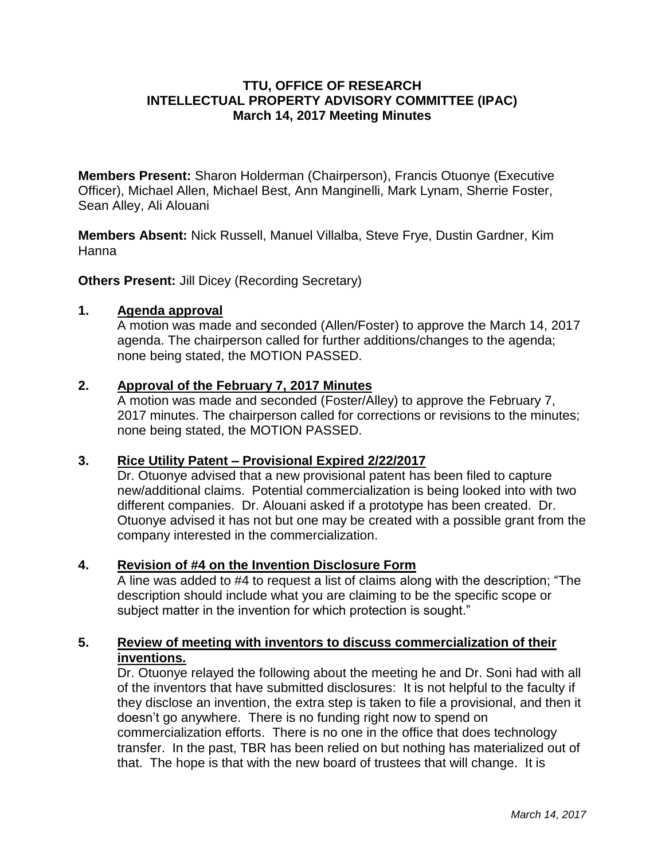## **TTU, OFFICE OF RESEARCH INTELLECTUAL PROPERTY ADVISORY COMMITTEE (IPAC) March 14, 2017 Meeting Minutes**

**Members Present:** Sharon Holderman (Chairperson), Francis Otuonye (Executive Officer), Michael Allen, Michael Best, Ann Manginelli, Mark Lynam, Sherrie Foster, Sean Alley, Ali Alouani

**Members Absent:** Nick Russell, Manuel Villalba, Steve Frye, Dustin Gardner, Kim Hanna

**Others Present: Jill Dicey (Recording Secretary)** 

#### **1. Agenda approval**

A motion was made and seconded (Allen/Foster) to approve the March 14, 2017 agenda. The chairperson called for further additions/changes to the agenda; none being stated, the MOTION PASSED.

#### **2. Approval of the February 7, 2017 Minutes**

A motion was made and seconded (Foster/Alley) to approve the February 7, 2017 minutes. The chairperson called for corrections or revisions to the minutes; none being stated, the MOTION PASSED.

## **3. Rice Utility Patent – Provisional Expired 2/22/2017**

Dr. Otuonye advised that a new provisional patent has been filed to capture new/additional claims. Potential commercialization is being looked into with two different companies. Dr. Alouani asked if a prototype has been created. Dr. Otuonye advised it has not but one may be created with a possible grant from the company interested in the commercialization.

## **4. Revision of #4 on the Invention Disclosure Form**

A line was added to #4 to request a list of claims along with the description; "The description should include what you are claiming to be the specific scope or subject matter in the invention for which protection is sought."

# **5. Review of meeting with inventors to discuss commercialization of their inventions.**

Dr. Otuonye relayed the following about the meeting he and Dr. Soni had with all of the inventors that have submitted disclosures: It is not helpful to the faculty if they disclose an invention, the extra step is taken to file a provisional, and then it doesn't go anywhere. There is no funding right now to spend on commercialization efforts. There is no one in the office that does technology transfer. In the past, TBR has been relied on but nothing has materialized out of that. The hope is that with the new board of trustees that will change. It is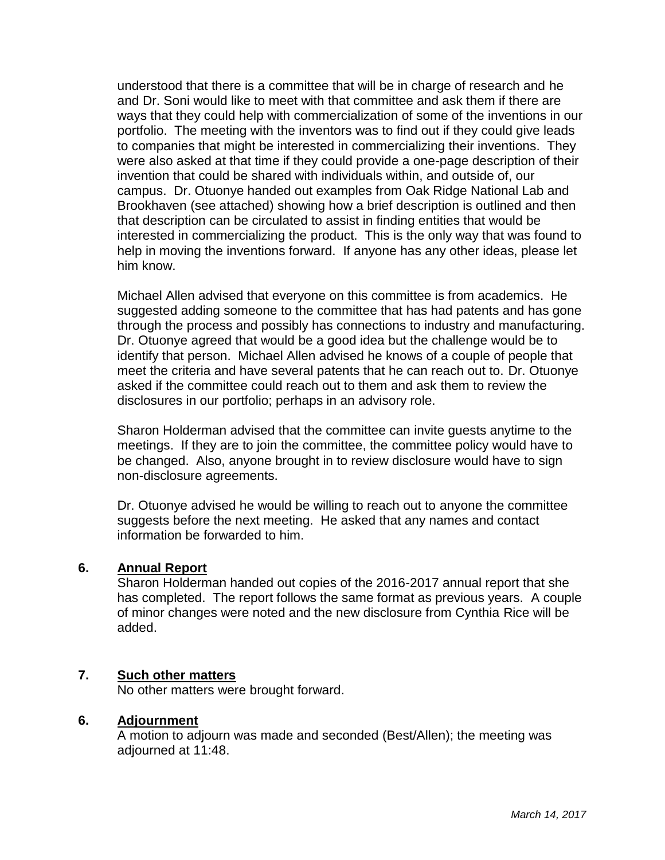understood that there is a committee that will be in charge of research and he and Dr. Soni would like to meet with that committee and ask them if there are ways that they could help with commercialization of some of the inventions in our portfolio. The meeting with the inventors was to find out if they could give leads to companies that might be interested in commercializing their inventions. They were also asked at that time if they could provide a one-page description of their invention that could be shared with individuals within, and outside of, our campus. Dr. Otuonye handed out examples from Oak Ridge National Lab and Brookhaven (see attached) showing how a brief description is outlined and then that description can be circulated to assist in finding entities that would be interested in commercializing the product. This is the only way that was found to help in moving the inventions forward. If anyone has any other ideas, please let him know.

Michael Allen advised that everyone on this committee is from academics. He suggested adding someone to the committee that has had patents and has gone through the process and possibly has connections to industry and manufacturing. Dr. Otuonye agreed that would be a good idea but the challenge would be to identify that person. Michael Allen advised he knows of a couple of people that meet the criteria and have several patents that he can reach out to. Dr. Otuonye asked if the committee could reach out to them and ask them to review the disclosures in our portfolio; perhaps in an advisory role.

Sharon Holderman advised that the committee can invite guests anytime to the meetings. If they are to join the committee, the committee policy would have to be changed. Also, anyone brought in to review disclosure would have to sign non-disclosure agreements.

Dr. Otuonye advised he would be willing to reach out to anyone the committee suggests before the next meeting. He asked that any names and contact information be forwarded to him.

## **6. Annual Report**

Sharon Holderman handed out copies of the 2016-2017 annual report that she has completed. The report follows the same format as previous years. A couple of minor changes were noted and the new disclosure from Cynthia Rice will be added.

#### **7. Such other matters**

No other matters were brought forward.

#### **6. Adjournment**

A motion to adjourn was made and seconded (Best/Allen); the meeting was adjourned at 11:48.